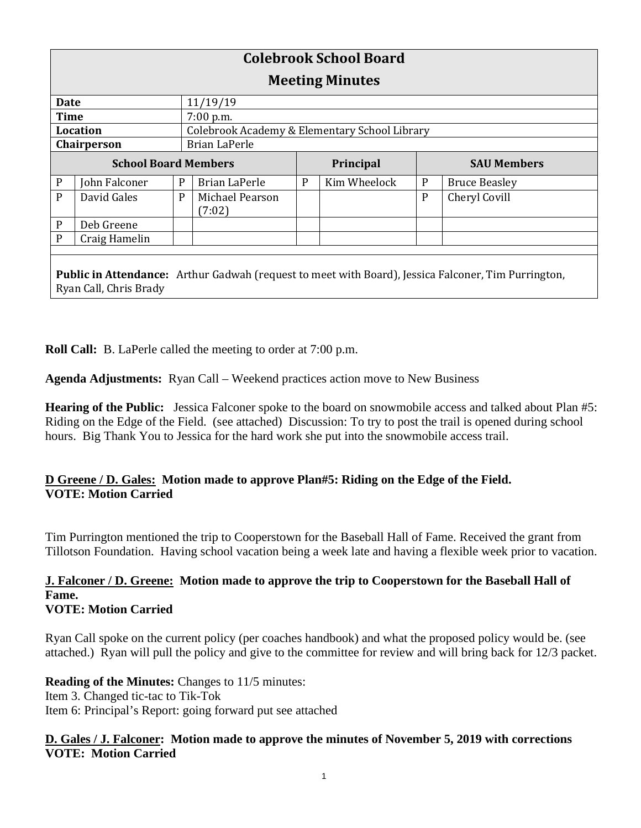| <b>Colebrook School Board</b>                                                                                                        |               |   |                                               |   |                  |   |                      |  |
|--------------------------------------------------------------------------------------------------------------------------------------|---------------|---|-----------------------------------------------|---|------------------|---|----------------------|--|
| <b>Meeting Minutes</b>                                                                                                               |               |   |                                               |   |                  |   |                      |  |
| Date                                                                                                                                 |               |   | 11/19/19                                      |   |                  |   |                      |  |
| <b>Time</b>                                                                                                                          |               |   | 7:00 p.m.                                     |   |                  |   |                      |  |
| <b>Location</b>                                                                                                                      |               |   | Colebrook Academy & Elementary School Library |   |                  |   |                      |  |
| Chairperson                                                                                                                          |               |   | Brian LaPerle                                 |   |                  |   |                      |  |
| <b>School Board Members</b>                                                                                                          |               |   |                                               |   | <b>Principal</b> |   | <b>SAU Members</b>   |  |
| $\mathbf P$                                                                                                                          | John Falconer | P | Brian LaPerle                                 | P | Kim Wheelock     | P | <b>Bruce Beasley</b> |  |
| P                                                                                                                                    | David Gales   | P | Michael Pearson<br>(7:02)                     |   |                  | P | Cheryl Covill        |  |
| $\mathbf P$                                                                                                                          | Deb Greene    |   |                                               |   |                  |   |                      |  |
| P                                                                                                                                    | Craig Hamelin |   |                                               |   |                  |   |                      |  |
|                                                                                                                                      |               |   |                                               |   |                  |   |                      |  |
| <b>Public in Attendance:</b> Arthur Gadwah (request to meet with Board), Jessica Falconer, Tim Purrington,<br>Ryan Call, Chris Brady |               |   |                                               |   |                  |   |                      |  |

**Roll Call:** B. LaPerle called the meeting to order at 7:00 p.m.

**Agenda Adjustments:** Ryan Call – Weekend practices action move to New Business

**Hearing of the Public:** Jessica Falconer spoke to the board on snowmobile access and talked about Plan #5: Riding on the Edge of the Field. (see attached) Discussion: To try to post the trail is opened during school hours. Big Thank You to Jessica for the hard work she put into the snowmobile access trail.

# **D Greene / D. Gales: Motion made to approve Plan#5: Riding on the Edge of the Field. VOTE: Motion Carried**

Tim Purrington mentioned the trip to Cooperstown for the Baseball Hall of Fame. Received the grant from Tillotson Foundation. Having school vacation being a week late and having a flexible week prior to vacation.

# **J. Falconer / D. Greene: Motion made to approve the trip to Cooperstown for the Baseball Hall of Fame.**

# **VOTE: Motion Carried**

Ryan Call spoke on the current policy (per coaches handbook) and what the proposed policy would be. (see attached.) Ryan will pull the policy and give to the committee for review and will bring back for 12/3 packet.

**Reading of the Minutes:** Changes to 11/5 minutes: Item 3. Changed tic-tac to Tik-Tok Item 6: Principal's Report: going forward put see attached

# **D. Gales / J. Falconer: Motion made to approve the minutes of November 5, 2019 with corrections VOTE: Motion Carried**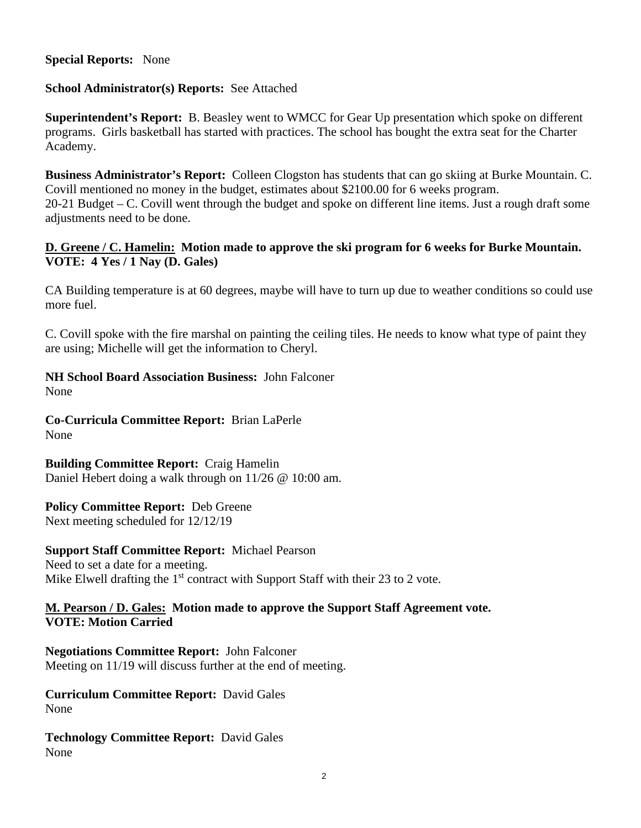#### **Special Reports:** None

# **School Administrator(s) Reports:** See Attached

**Superintendent's Report:** B. Beasley went to WMCC for Gear Up presentation which spoke on different programs. Girls basketball has started with practices. The school has bought the extra seat for the Charter Academy.

**Business Administrator's Report:** Colleen Clogston has students that can go skiing at Burke Mountain. C. Covill mentioned no money in the budget, estimates about \$2100.00 for 6 weeks program. 20-21 Budget – C. Covill went through the budget and spoke on different line items. Just a rough draft some adjustments need to be done.

# **D. Greene / C. Hamelin: Motion made to approve the ski program for 6 weeks for Burke Mountain. VOTE: 4 Yes / 1 Nay (D. Gales)**

CA Building temperature is at 60 degrees, maybe will have to turn up due to weather conditions so could use more fuel.

C. Covill spoke with the fire marshal on painting the ceiling tiles. He needs to know what type of paint they are using; Michelle will get the information to Cheryl.

# **NH School Board Association Business:** John Falconer

None

**Co-Curricula Committee Report:** Brian LaPerle None

# **Building Committee Report:** Craig Hamelin

Daniel Hebert doing a walk through on 11/26 @ 10:00 am.

# **Policy Committee Report:** Deb Greene

Next meeting scheduled for 12/12/19

# **Support Staff Committee Report:** Michael Pearson

Need to set a date for a meeting. Mike Elwell drafting the  $1<sup>st</sup>$  contract with Support Staff with their 23 to 2 vote.

# **M. Pearson / D. Gales: Motion made to approve the Support Staff Agreement vote. VOTE: Motion Carried**

# **Negotiations Committee Report:** John Falconer

Meeting on 11/19 will discuss further at the end of meeting.

#### **Curriculum Committee Report:** David Gales None

**Technology Committee Report:** David Gales None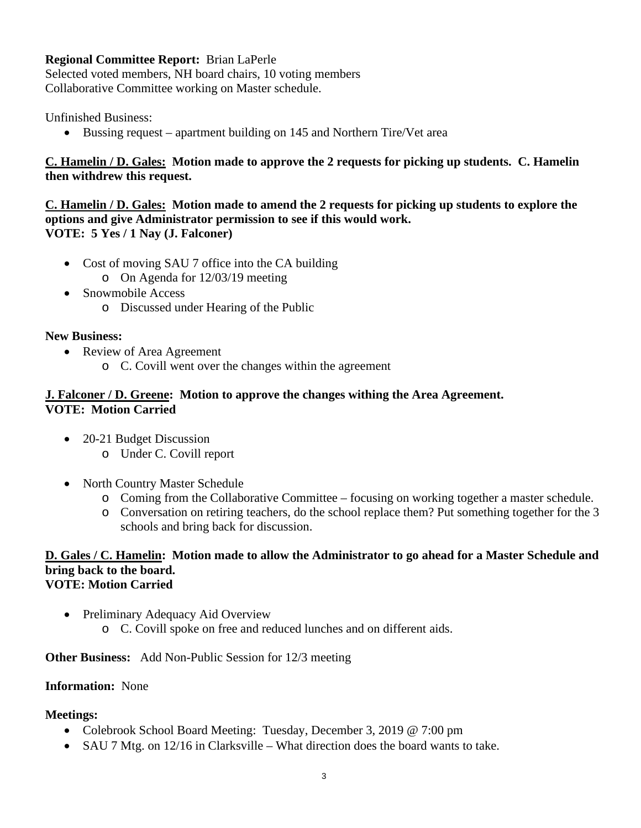# **Regional Committee Report:** Brian LaPerle

Selected voted members, NH board chairs, 10 voting members Collaborative Committee working on Master schedule.

Unfinished Business:

• Bussing request – apartment building on 145 and Northern Tire/Vet area

# **C. Hamelin / D. Gales: Motion made to approve the 2 requests for picking up students. C. Hamelin then withdrew this request.**

**C. Hamelin / D. Gales: Motion made to amend the 2 requests for picking up students to explore the options and give Administrator permission to see if this would work. VOTE: 5 Yes / 1 Nay (J. Falconer)**

- Cost of moving SAU 7 office into the CA building
	- o On Agenda for 12/03/19 meeting
- Snowmobile Access
	- o Discussed under Hearing of the Public

# **New Business:**

- Review of Area Agreement
	- o C. Covill went over the changes within the agreement

### **J. Falconer / D. Greene: Motion to approve the changes withing the Area Agreement. VOTE: Motion Carried**

- 20-21 Budget Discussion
	- o Under C. Covill report
- North Country Master Schedule
	- o Coming from the Collaborative Committee focusing on working together a master schedule.
	- o Conversation on retiring teachers, do the school replace them? Put something together for the 3 schools and bring back for discussion.

#### **D. Gales / C. Hamelin: Motion made to allow the Administrator to go ahead for a Master Schedule and bring back to the board. VOTE: Motion Carried**

- Preliminary Adequacy Aid Overview
	- o C. Covill spoke on free and reduced lunches and on different aids.

# **Other Business:** Add Non-Public Session for 12/3 meeting

# **Information:** None

# **Meetings:**

- Colebrook School Board Meeting: Tuesday, December 3, 2019 @ 7:00 pm
- SAU 7 Mtg. on 12/16 in Clarksville What direction does the board wants to take.